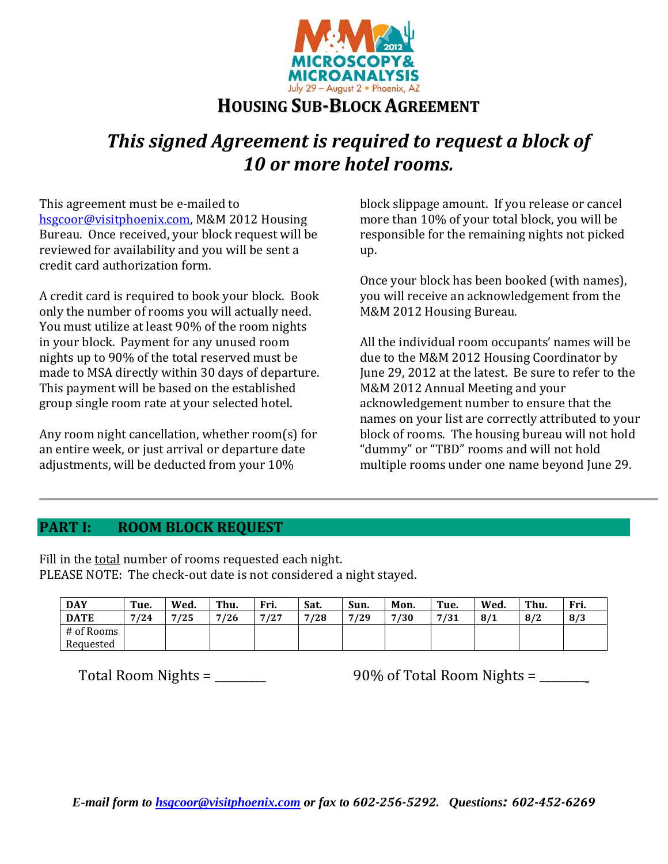

# **HOUSING SUB‐BLOCK AGREEMENT**

# *This signed Agreement is required to request a block of 10 or more hotel rooms.*

This agreement must be e-mailed to hsgcoor@visitphoenix.com, M&M 2012 Housing Bureau. Once received, your block request will be reviewed for availability and you will be sent a credit card authorization form.

A credit card is required to book your block. Book only the number of rooms you will actually need. You must utilize at least 90% of the room nights in your block. Payment for any unused room nights up to 90% of the total reserved must be made to MSA directly within 30 days of departure. This payment will be based on the established group single room rate at your selected hotel.

Any room night cancellation, whether  $room(s)$  for an entire week, or just arrival or departure date adjustments, will be deducted from your 10%

block slippage amount. If you release or cancel more than 10% of your total block, you will be responsible for the remaining nights not picked up. 

Once your block has been booked (with names), you will receive an acknowledgement from the M&M 2012 Housing Bureau.

All the individual room occupants' names will be due to the M&M 2012 Housing Coordinator by June 29, 2012 at the latest. Be sure to refer to the M&M 2012 Annual Meeting and your acknowledgement number to ensure that the names on your list are correctly attributed to your block of rooms. The housing bureau will not hold "dummy" or "TBD" rooms and will not hold multiple rooms under one name beyond June 29.

#### **PART I: ROOM BLOCK REQUEST**

Fill in the total number of rooms requested each night. PLEASE NOTE: The check-out date is not considered a night stayed.

| <b>DAY</b>  | Tue. | Wed. | Thu. | Fri. | Sat. | Sun. | Mon. | Tue. | Wed. | Thu. | Fri. |
|-------------|------|------|------|------|------|------|------|------|------|------|------|
| <b>DATE</b> | 7/24 | 7/25 | 7/26 | 7/27 | /28  | 7/29 | 7/30 | 7/31 | 8/1  | 8/2  | 8/3  |
| # of Rooms  |      |      |      |      |      |      |      |      |      |      |      |
| Requested   |      |      |      |      |      |      |      |      |      |      |      |

Total Room Nights =  $\frac{90\% \text{ of Total Room Nights} =$